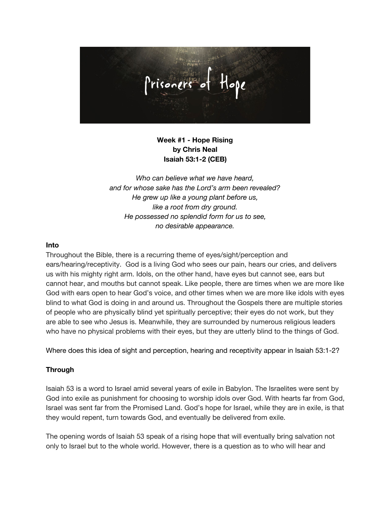

# **Week #1 - Hope Rising by Chris Neal Isaiah 53:1-2 (CEB)**

*Who can believe what we have heard, and for whose sake has the Lord's arm been revealed? He grew up like a young plant before us, like a root from dry ground. He possessed no splendid form for us to see, no desirable appearance.*

#### **Into**

Throughout the Bible, there is a recurring theme of eyes/sight/perception and ears/hearing/receptivity. God is a living God who sees our pain, hears our cries, and delivers us with his mighty right arm. Idols, on the other hand, have eyes but cannot see, ears but cannot hear, and mouths but cannot speak. Like people, there are times when we are more like God with ears open to hear God's voice, and other times when we are more like idols with eyes blind to what God is doing in and around us. Throughout the Gospels there are multiple stories of people who are physically blind yet spiritually perceptive; their eyes do not work, but they are able to see who Jesus is. Meanwhile, they are surrounded by numerous religious leaders who have no physical problems with their eyes, but they are utterly blind to the things of God.

Where does this idea of sight and perception, hearing and receptivity appear in Isaiah 53:1-2?

## **Through**

Isaiah 53 is a word to Israel amid several years of exile in Babylon. The Israelites were sent by God into exile as punishment for choosing to worship idols over God. With hearts far from God, Israel was sent far from the Promised Land. God's hope for Israel, while they are in exile, is that they would repent, turn towards God, and eventually be delivered from exile.

The opening words of Isaiah 53 speak of a rising hope that will eventually bring salvation not only to Israel but to the whole world. However, there is a question as to who will hear and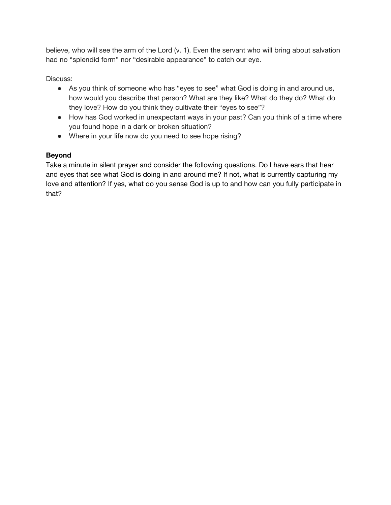believe, who will see the arm of the Lord (v. 1). Even the servant who will bring about salvation had no "splendid form" nor "desirable appearance" to catch our eye.

Discuss:

- As you think of someone who has "eyes to see" what God is doing in and around us, how would you describe that person? What are they like? What do they do? What do they love? How do you think they cultivate their "eyes to see"?
- How has God worked in unexpectant ways in your past? Can you think of a time where you found hope in a dark or broken situation?
- Where in your life now do you need to see hope rising?

# **Beyond**

Take a minute in silent prayer and consider the following questions. Do I have ears that hear and eyes that see what God is doing in and around me? If not, what is currently capturing my love and attention? If yes, what do you sense God is up to and how can you fully participate in that?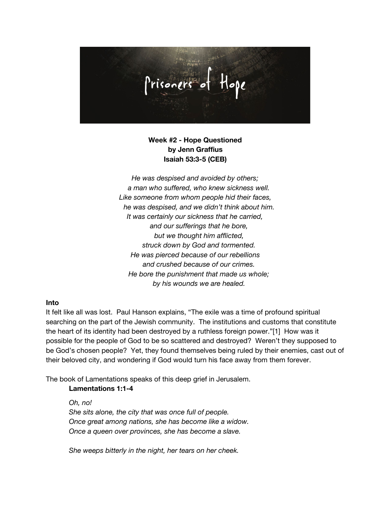

## **Week #2 - Hope Questioned by Jenn Graffius Isaiah 53:3-5 (CEB)**

*He was despised and avoided by others; a man who suffered, who knew sickness well. Like someone from whom people hid their faces, he was despised, and we didn't think about him. It was certainly our sickness that he carried, and our sufferings that he bore, but we thought him afflicted, struck down by God and tormented. He was pierced because of our rebellions and crushed because of our crimes. He bore the punishment that made us whole; by his wounds we are healed.*

#### **Into**

It felt like all was lost. Paul Hanson explains, "The exile was a time of profound spiritual searching on the part of the Jewish community. The institutions and customs that constitute the heart of its identity had been destroyed by a ruthless foreign power."[1] How was it possible for the people of God to be so scattered and destroyed? Weren't they supposed to be God's chosen people? Yet, they found themselves being ruled by their enemies, cast out of their beloved city, and wondering if God would turn his face away from them forever.

The book of Lamentations speaks of this deep grief in Jerusalem.

### **Lamentations 1:1-4**

*Oh, no! She sits alone, the city that was once full of people. Once great among nations, she has become like a widow. Once a queen over provinces, she has become a slave.*

*She weeps bitterly in the night, her tears on her cheek.*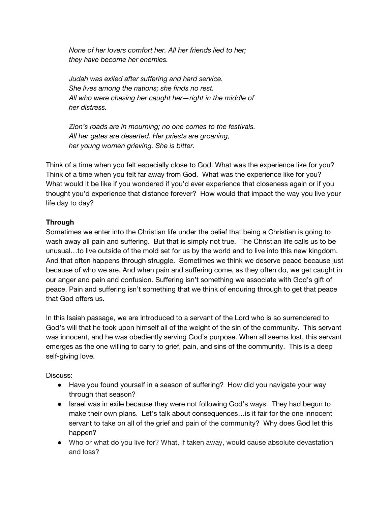*None of her lovers comfort her. All her friends lied to her; they have become her enemies.*

*Judah was exiled after suffering and hard service. She lives among the nations; she finds no rest. All who were chasing her caught her—right in the middle of her distress.*

*Zion's roads are in mourning; no one comes to the festivals. All her gates are deserted. Her priests are groaning, her young women grieving. She is bitter.*

Think of a time when you felt especially close to God. What was the experience like for you? Think of a time when you felt far away from God. What was the experience like for you? What would it be like if you wondered if you'd ever experience that closeness again or if you thought you'd experience that distance forever? How would that impact the way you live your life day to day?

## **Through**

Sometimes we enter into the Christian life under the belief that being a Christian is going to wash away all pain and suffering. But that is simply not true. The Christian life calls us to be unusual…to live outside of the mold set for us by the world and to live into this new kingdom. And that often happens through struggle. Sometimes we think we deserve peace because just because of who we are. And when pain and suffering come, as they often do, we get caught in our anger and pain and confusion. Suffering isn't something we associate with God's gift of peace. Pain and suffering isn't something that we think of enduring through to get that peace that God offers us.

In this Isaiah passage, we are introduced to a servant of the Lord who is so surrendered to God's will that he took upon himself all of the weight of the sin of the community. This servant was innocent, and he was obediently serving God's purpose. When all seems lost, this servant emerges as the one willing to carry to grief, pain, and sins of the community. This is a deep self-giving love.

Discuss:

- Have you found yourself in a season of suffering? How did you navigate your way through that season?
- Israel was in exile because they were not following God's ways. They had begun to make their own plans. Let's talk about consequences…is it fair for the one innocent servant to take on all of the grief and pain of the community? Why does God let this happen?
- Who or what do you live for? What, if taken away, would cause absolute devastation and loss?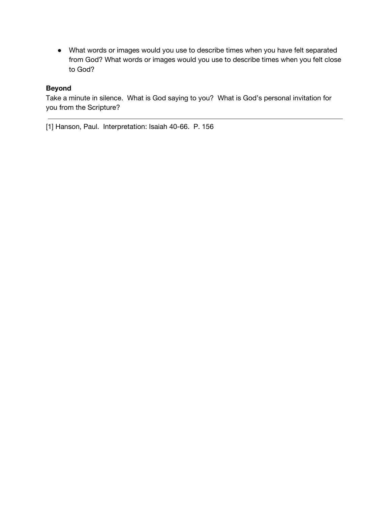● What words or images would you use to describe times when you have felt separated from God? What words or images would you use to describe times when you felt close to God?

## **Beyond**

Take a minute in silence. What is God saying to you? What is God's personal invitation for you from the Scripture?

[1] Hanson, Paul. Interpretation: Isaiah 40-66. P. 156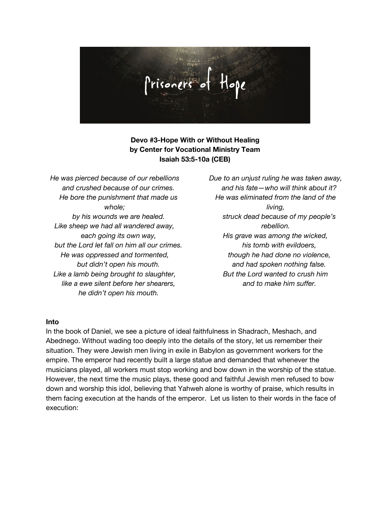

## **Devo #3-Hope With or Without Healing by Center for Vocational Ministry Team Isaiah 53:5-10a (CEB)**

*He was pierced because of our rebellions and crushed because of our crimes. He bore the punishment that made us whole; by his wounds we are healed. Like sheep we had all wandered away, each going its own way, but the Lord let fall on him all our crimes. He was oppressed and tormented, but didn't open his mouth. Like a lamb being brought to slaughter, like a ewe silent before her shearers, he didn't open his mouth.*

*Due to an unjust ruling he was taken away, and his fate—who will think about it? He was eliminated from the land of the living, struck dead because of my people's rebellion. His grave was among the wicked, his tomb with evildoers, though he had done no violence, and had spoken nothing false. But the Lord wanted to crush him and to make him suffer.*

#### **Into**

In the book of Daniel, we see a picture of ideal faithfulness in Shadrach, Meshach, and Abednego. Without wading too deeply into the details of the story, let us remember their situation. They were Jewish men living in exile in Babylon as government workers for the empire. The emperor had recently built a large statue and demanded that whenever the musicians played, all workers must stop working and bow down in the worship of the statue. However, the next time the music plays, these good and faithful Jewish men refused to bow down and worship this idol, believing that Yahweh alone is worthy of praise, which results in them facing execution at the hands of the emperor. Let us listen to their words in the face of execution: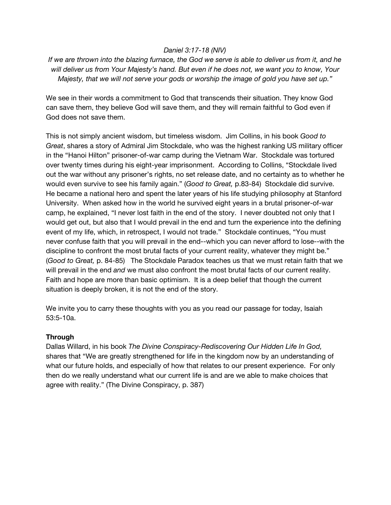### *Daniel 3:17-18 (NIV)*

If we are thrown into the blazing furnace, the God we serve is able to deliver us from it, and he will deliver us from Your Majesty's hand. But even if he does not, we want you to know, Your *Majesty, that we will not serve your gods or worship the image of gold you have set up."*

We see in their words a commitment to God that transcends their situation. They know God can save them, they believe God will save them, and they will remain faithful to God even if God does not save them.

This is not simply ancient wisdom, but timeless wisdom. Jim Collins, in his book *Good to Great*, shares a story of Admiral Jim Stockdale, who was the highest ranking US military officer in the "Hanoi Hilton" prisoner-of-war camp during the Vietnam War. Stockdale was tortured over twenty times during his eight-year imprisonment. According to Collins, "Stockdale lived out the war without any prisoner's rights, no set release date, and no certainty as to whether he would even survive to see his family again." (*Good to Great,* p.83-84) Stockdale did survive. He became a national hero and spent the later years of his life studying philosophy at Stanford University. When asked how in the world he survived eight years in a brutal prisoner-of-war camp, he explained, "I never lost faith in the end of the story. I never doubted not only that I would get out, but also that I would prevail in the end and turn the experience into the defining event of my life, which, in retrospect, I would not trade." Stockdale continues, "You must never confuse faith that you will prevail in the end--which you can never afford to lose--with the discipline to confront the most brutal facts of your current reality, whatever they might be." (*Good to Great,* p. 84-85) The Stockdale Paradox teaches us that we must retain faith that we will prevail in the end *and* we must also confront the most brutal facts of our current reality. Faith and hope are more than basic optimism. It is a deep belief that though the current situation is deeply broken, it is not the end of the story.

We invite you to carry these thoughts with you as you read our passage for today, Isaiah 53:5-10a.

### **Through**

Dallas Willard, in his book *The Divine Conspiracy-Rediscovering Our Hidden Life In God,* shares that "We are greatly strengthened for life in the kingdom now by an understanding of what our future holds, and especially of how that relates to our present experience. For only then do we really understand what our current life is and are we able to make choices that agree with reality." (The Divine Conspiracy, p. 387)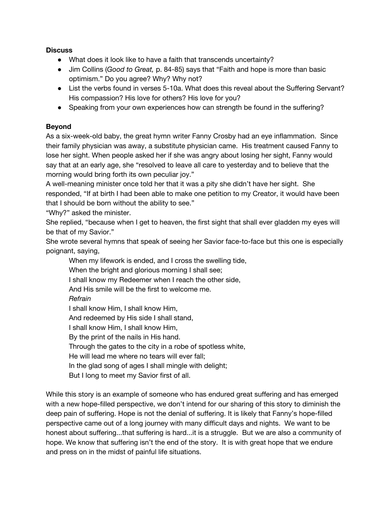**Discuss**

- What does it look like to have a faith that transcends uncertainty?
- Jim Collins (*Good to Great,* p. 84-85) says that "Faith and hope is more than basic optimism." Do you agree? Why? Why not?
- List the verbs found in verses 5-10a. What does this reveal about the Suffering Servant? His compassion? His love for others? His love for you?
- Speaking from your own experiences how can strength be found in the suffering?

## **Beyond**

As a six-week-old baby, the great hymn writer Fanny Crosby had an eye inflammation. Since their family physician was away, a substitute physician came. His treatment caused Fanny to lose her sight. When people asked her if she was angry about losing her sight, Fanny would say that at an early age, she "resolved to leave all care to yesterday and to believe that the morning would bring forth its own peculiar joy."

A well-meaning minister once told her that it was a pity she didn't have her sight. She responded, "If at birth I had been able to make one petition to my Creator, it would have been that I should be born without the ability to see."

"Why?" asked the minister.

She replied, "because when I get to heaven, the first sight that shall ever gladden my eyes will be that of my Savior."

She wrote several hymns that speak of seeing her Savior face-to-face but this one is especially poignant, saying,

When my lifework is ended, and I cross the swelling tide,

When the bright and glorious morning I shall see;

I shall know my Redeemer when I reach the other side,

And His smile will be the first to welcome me.

*Refrain*

I shall know Him, I shall know Him,

And redeemed by His side I shall stand,

I shall know Him, I shall know Him,

By the print of the nails in His hand.

Through the gates to the city in a robe of spotless white,

He will lead me where no tears will ever fall;

In the glad song of ages I shall mingle with delight;

But I long to meet my Savior first of all.

While this story is an example of someone who has endured great suffering and has emerged with a new hope-filled perspective, we don't intend for our sharing of this story to diminish the deep pain of suffering. Hope is not the denial of suffering. It is likely that Fanny's hope-filled perspective came out of a long journey with many difficult days and nights. We want to be honest about suffering...that suffering is hard...it is a struggle. But we are also a community of hope. We know that suffering isn't the end of the story. It is with great hope that we endure and press on in the midst of painful life situations.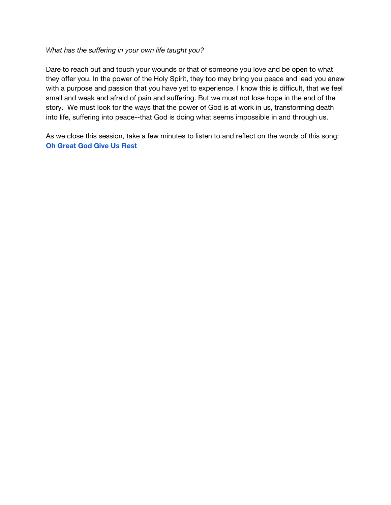#### *What has the suffering in your own life taught you?*

Dare to reach out and touch your wounds or that of someone you love and be open to what they offer you. In the power of the Holy Spirit, they too may bring you peace and lead you anew with a purpose and passion that you have yet to experience. I know this is difficult, that we feel small and weak and afraid of pain and suffering. But we must not lose hope in the end of the story. We must look for the ways that the power of God is at work in us, transforming death into life, suffering into peace--that God is doing what seems impossible in and through us.

As we close this session, take a few minutes to listen to and reflect on the words of this song: **Oh [Great](https://youtu.be/D_dUUg4InkM) God Give Us Rest**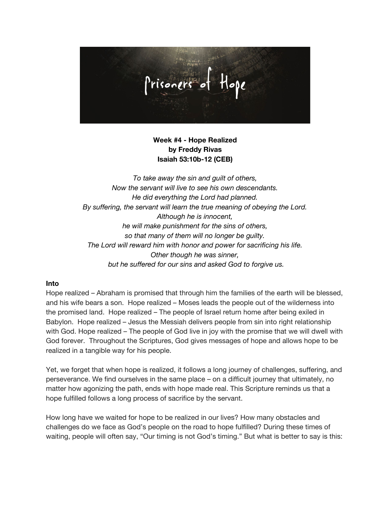

## **Week #4 - Hope Realized by Freddy Rivas Isaiah 53:10b-12 (CEB)**

*To take away the sin and guilt of others, Now the servant will live to see his own descendants. He did everything the Lord had planned. By suffering, the servant will learn the true meaning of obeying the Lord. Although he is innocent, he will make punishment for the sins of others, so that many of them will no longer be guilty. The Lord will reward him with honor and power for sacrificing his life. Other though he was sinner, but he suffered for our sins and asked God to forgive us.*

#### **Into**

Hope realized – Abraham is promised that through him the families of the earth will be blessed, and his wife bears a son. Hope realized – Moses leads the people out of the wilderness into the promised land. Hope realized – The people of Israel return home after being exiled in Babylon. Hope realized – Jesus the Messiah delivers people from sin into right relationship with God. Hope realized – The people of God live in joy with the promise that we will dwell with God forever. Throughout the Scriptures, God gives messages of hope and allows hope to be realized in a tangible way for his people.

Yet, we forget that when hope is realized, it follows a long journey of challenges, suffering, and perseverance. We find ourselves in the same place – on a difficult journey that ultimately, no matter how agonizing the path, ends with hope made real. This Scripture reminds us that a hope fulfilled follows a long process of sacrifice by the servant.

How long have we waited for hope to be realized in our lives? How many obstacles and challenges do we face as God's people on the road to hope fulfilled? During these times of waiting, people will often say, "Our timing is not God's timing." But what is better to say is this: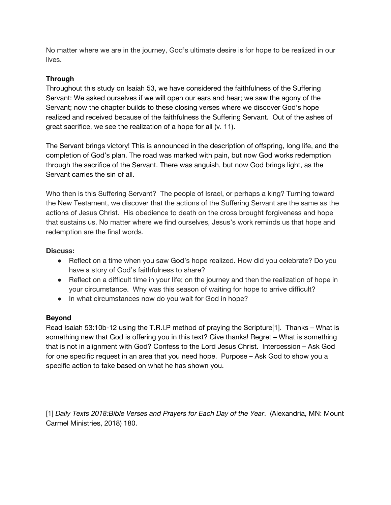No matter where we are in the journey, God's ultimate desire is for hope to be realized in our lives.

## **Through**

Throughout this study on Isaiah 53, we have considered the faithfulness of the Suffering Servant: We asked ourselves if we will open our ears and hear; we saw the agony of the Servant; now the chapter builds to these closing verses where we discover God's hope realized and received because of the faithfulness the Suffering Servant. Out of the ashes of great sacrifice, we see the realization of a hope for all (v. 11).

The Servant brings victory! This is announced in the description of offspring, long life, and the completion of God's plan. The road was marked with pain, but now God works redemption through the sacrifice of the Servant. There was anguish, but now God brings light, as the Servant carries the sin of all.

Who then is this Suffering Servant? The people of Israel, or perhaps a king? Turning toward the New Testament, we discover that the actions of the Suffering Servant are the same as the actions of Jesus Christ. His obedience to death on the cross brought forgiveness and hope that sustains us. No matter where we find ourselves, Jesus's work reminds us that hope and redemption are the final words.

## **Discuss:**

- Reflect on a time when you saw God's hope realized. How did you celebrate? Do you have a story of God's faithfulness to share?
- Reflect on a difficult time in your life; on the journey and then the realization of hope in your circumstance. Why was this season of waiting for hope to arrive difficult?
- In what circumstances now do you wait for God in hope?

## **Beyond**

Read Isaiah 53:10b-12 using the T.R.I.P method of praying the Scripture[1]. Thanks – What is something new that God is offering you in this text? Give thanks! Regret – What is something that is not in alignment with God? Confess to the Lord Jesus Christ. Intercession – Ask God for one specific request in an area that you need hope. Purpose – Ask God to show you a specific action to take based on what he has shown you.

[1] *Daily Texts 2018:Bible Verses and Prayers for Each Day of the Year*. (Alexandria, MN: Mount Carmel Ministries, 2018) 180.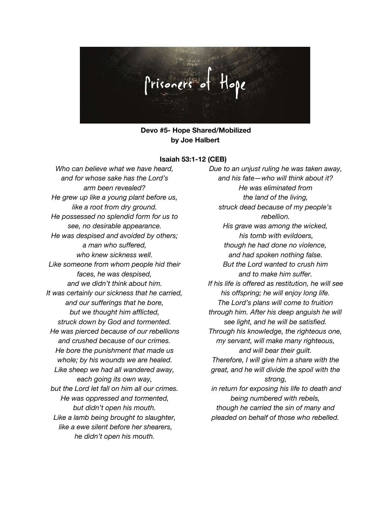

**Devo #5- Hope Shared/Mobilized by Joe Halbert**

#### **Isaiah 53:1-12 (CEB)**

*Who can believe what we have heard, and for whose sake has the Lord's arm been revealed? He grew up like a young plant before us, like a root from dry ground. He possessed no splendid form for us to see, no desirable appearance. He was despised and avoided by others; a man who suffered, who knew sickness well. Like someone from whom people hid their faces, he was despised, and we didn't think about him. It was certainly our sickness that he carried, and our sufferings that he bore, but we thought him afflicted, struck down by God and tormented. He was pierced because of our rebellions and crushed because of our crimes. He bore the punishment that made us whole; by his wounds we are healed. Like sheep we had all wandered away, each going its own way, but the Lord let fall on him all our crimes. He was oppressed and tormented, but didn't open his mouth. Like a lamb being brought to slaughter, like a ewe silent before her shearers, he didn't open his mouth.*

*Due to an unjust ruling he was taken away, and his fate—who will think about it? He was eliminated from the land of the living, struck dead because of my people's rebellion. His grave was among the wicked, his tomb with evildoers, though he had done no violence, and had spoken nothing false. But the Lord wanted to crush him and to make him suffer. If his life is offered as restitution, he will see his offspring; he will enjoy long life. The Lord's plans will come to fruition through him. After his deep anguish he will see light, and he will be satisfied. Through his knowledge, the righteous one, my servant, will make many righteous, and will bear their guilt. Therefore, I will give him a share with the great, and he will divide the spoil with the strong, in return for exposing his life to death and being numbered with rebels, though he carried the sin of many and pleaded on behalf of those who rebelled.*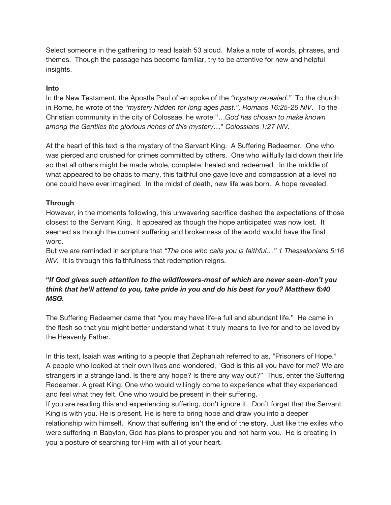Select someone in the gathering to read Isaiah 53 aloud. Make a note of words, phrases, and themes. Though the passage has become familiar, try to be attentive for new and helpful insights.

### **Into**

In the New Testament, the Apostle Paul often spoke of the *"mystery revealed."* To the church in Rome, he wrote of the *"mystery hidden for long ages past.", Romans 16:25-26 NIV*. To the Christian community in the city of Colossae, he wrote "…*God has chosen to make known among the Gentiles the glorious riches of this mystery*…" *Colossians 1:27 NIV.*

At the heart of this text is the mystery of the Servant King. A Suffering Redeemer. One who was pierced and crushed for crimes committed by others. One who willfully laid down their life so that all others might be made whole, complete, healed and redeemed. In the middle of what appeared to be chaos to many, this faithful one gave love and compassion at a level no one could have ever imagined. In the midst of death, new life was born. A hope revealed.

## **Through**

However, in the moments following, this unwavering sacrifice dashed the expectations of those closest to the Servant King. It appeared as though the hope anticipated was now lost. It seemed as though the current suffering and brokenness of the world would have the final word.

But we are reminded in scripture that *"The one who calls you is faithful…" 1 Thessalonians 5:16 NIV.* It is through this faithfulness that redemption reigns.

## **"***If God gives such attention to the wildflowers-most of which are never seen-don't you think that he'll attend to you, take pride in you and do his best for you? Matthew 6:40 MSG.*

The Suffering Redeemer came that "you may have life-a full and abundant life." He came in the flesh so that you might better understand what it truly means to live for and to be loved by the Heavenly Father.

In this text, Isaiah was writing to a people that Zephaniah referred to as, "Prisoners of Hope." A people who looked at their own lives and wondered, "God is this all you have for me? We are strangers in a strange land. Is there any hope? Is there any way out?" Thus, enter the Suffering Redeemer. A great King. One who would willingly come to experience what they experienced and feel what they felt. One who would be present in their suffering.

If you are reading this and experiencing suffering, don't ignore it. Don't forget that the Servant King is with you. He is present. He is here to bring hope and draw you into a deeper relationship with himself. Know that suffering isn't the end of the story. Just like the exiles who were suffering in Babylon, God has plans to prosper you and not harm you. He is creating in you a posture of searching for Him with all of your heart.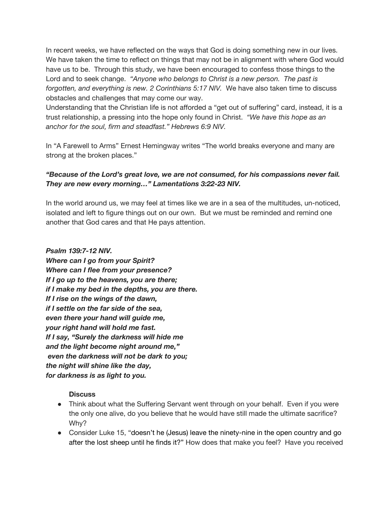In recent weeks, we have reflected on the ways that God is doing something new in our lives. We have taken the time to reflect on things that may not be in alignment with where God would have us to be. Through this study, we have been encouraged to confess those things to the Lord and to seek change. *"Anyone who belongs to Christ is a new person. The past is forgotten, and everything is new. 2 Corinthians 5:17 NIV.* We have also taken time to discuss obstacles and challenges that may come our way.

Understanding that the Christian life is not afforded a "get out of suffering" card, instead, it is a trust relationship, a pressing into the hope only found in Christ. *"We have this hope as an anchor for the soul, firm and steadfast." Hebrews 6:9 NIV.*

In "A Farewell to Arms" Ernest Hemingway writes "The world breaks everyone and many are strong at the broken places."

## *"Because of the Lord's great love, we are not consumed, for his compassions never fail. They are new every morning…" Lamentations 3:22-23 NIV.*

In the world around us, we may feel at times like we are in a sea of the multitudes, un-noticed, isolated and left to figure things out on our own. But we must be reminded and remind one another that God cares and that He pays attention.

*Psalm 139:7-12 NIV. Where can I go from your Spirit? Where can I flee from your presence? If I go up to the heavens, you are there; if I make my bed in the depths, you are there. If I rise on the wings of the dawn, if I settle on the far side of the sea, even there your hand will guide me, your right hand will hold me fast. If I say, "Surely the darkness will hide me and the light become night around me," even the darkness will not be dark to you; the night will shine like the day, for darkness is as light to you.*

## **Discuss**

- Think about what the Suffering Servant went through on your behalf. Even if you were the only one alive, do you believe that he would have still made the ultimate sacrifice? Why?
- **●** Consider Luke 15, "doesn't he (Jesus) leave the ninety-nine in the open country and go after the lost sheep until he finds it?" How does that make you feel? Have you received